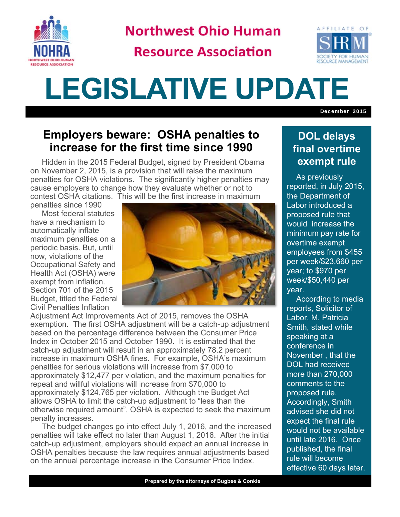

**Northwest Ohio Human** 

**Resource Association** 



## **LEGISLATIVE UPDATE**

December 2015

## **Employers beware: OSHA penalties to increase for the first time since 1990**

Hidden in the 2015 Federal Budget, signed by President Obama on November 2, 2015, is a provision that will raise the maximum penalties for OSHA violations. The significantly higher penalties may cause employers to change how they evaluate whether or not to contest OSHA citations. This will be the first increase in maximum

penalties since 1990

Most federal statutes have a mechanism to automatically inflate maximum penalties on a periodic basis. But, until now, violations of the Occupational Safety and Health Act (OSHA) were exempt from inflation. Section 701 of the 2015 Budget, titled the Federal Civil Penalties Inflation



Adjustment Act Improvements Act of 2015, removes the OSHA exemption. The first OSHA adjustment will be a catch-up adjustment based on the percentage difference between the Consumer Price Index in October 2015 and October 1990. It is estimated that the catch-up adjustment will result in an approximately 78.2 percent increase in maximum OSHA fines. For example, OSHA's maximum penalties for serious violations will increase from \$7,000 to approximately \$12,477 per violation, and the maximum penalties for repeat and willful violations will increase from \$70,000 to approximately \$124,765 per violation. Although the Budget Act allows OSHA to limit the catch-up adjustment to "less than the otherwise required amount", OSHA is expected to seek the maximum penalty increases.

The budget changes go into effect July 1, 2016, and the increased penalties will take effect no later than August 1, 2016. After the initial catch-up adjustment, employers should expect an annual increase in OSHA penalties because the law requires annual adjustments based on the annual percentage increase in the Consumer Price Index.

## **DOL delays final overtime exempt rule**

 As previously reported, in July 2015, the Department of Labor introduced a proposed rule that would increase the minimum pay rate for overtime exempt employees from \$455 per week/\$23,660 per year; to \$970 per week/\$50,440 per year.

 According to media reports, Solicitor of Labor, M. Patricia Smith, stated while speaking at a conference in November , that the DOL had received more than 270,000 comments to the proposed rule. Accordingly, Smith advised she did not expect the final rule would not be available until late 2016. Once published, the final rule will become effective 60 days later.